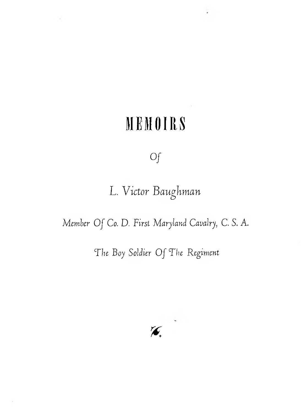## **MEMOIRS**

 $\alpha$ 

## *of*

## L. *Victor Bauphman* **<b**

*Member Of Co. D. First Maryland Cavalry. C. S. A.*

## *The Boy Soldier Of The Regiment*

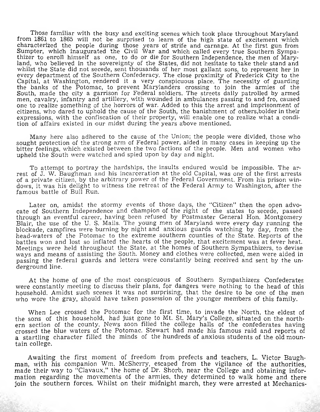Those familiar with the busy and exciting scenes which took place throughout Maryland from 1861 to 1865 will not be surprised to learn of the high state of excitement which characterized the people during those years of strife and carnage. At the first gun from Sumpter, which inaugurated the Civil War and which called every true Southern Sympathizer to enroll himself as one, to do or die for Southern Independence, the men of Maryland, who believed in the sovereignty of the States, did not hesitate to take their stand and whilst the State did not secede, sent thousands of her most gallant sons, to represent her in every department of the Southern Confederacy. The close proximity of Frederick City to the Capital, at Washington, rendered it a very conspicuous place. The necessity of guarding the banks of the Potomac, to prevent Marylanders crossing to join the armies of the South, made the city a garrison for Federal soldiers. The streets daily patrolled by armed men, cavalry, infantry and artillery, with wounded in ambulances passing to and fro, caused one to realize something of the horrors of war. Added to this the arrest and imprisonment of citizens, who dared to uphold the cause of the South, the banishment of others,bolder in their expressions, with the confiscation of their property, will enable one to realize what a condition of affairs existed in our midst during the years above mentioned.

Many here also adhered to the cause of the Union; the people were divided, those who sought protection of the strong arm of Federal power, aided in many cases in keeping up the bitter feelings, which existed between the two factions of the people. Men and women who upheld the South were watched and spied upon by day and night.

To attempt to portray the hardships, the insults endured would be impossible. The arrest of J. W. Baughman and his incarceration at the old Capital, was one of the first arrests of a private citizen, by the arbitrary power of the Federal Government. From his prison windows, it was his delight to witness the retreat of the Federal Army to Washington, after the famous battle of Bull Run.

Later on, amidst the stormy events of those days, the "Citizen" then the open advocate of Southern Independence and champion of the right of the states to secede, passed through an eventful career, having been refused by Postmaster General Hon. Montgomery Blair, the use of the U. S. Mails. The young men of Maryland were every day running the blockade, campfires were burning by night and anxious guards watching by day, from the head-waters of the Potomac to the extreme southern counties of the State. Reports of the battles won and lost so inflated the hearts of the people, that excitement was at fever heat. Meetings were held throughout the State, at the homes of Southern Sympathizers, to devise ways and means of assisting the South. Money and clothes were collected, men were aided in passing the federal guards and letters were constantly being received and sent by the underground line.

At the home of one of the most conspicuous of Southern Sympathizers Confederates were constantly meeting to discuss their plans, for dangers were nothing to the head of this household. Amidst such scenes it was not surprising, that the desire to be one of the men who wore the gray, should have taken possession of the younger members of this family.

When Lee crossed the Potomac for the first time, to invade the North, the eldest of the sons of this household, had just gone to Mt. St. Mary's College, situated on the northern section of the county. News soon filled the college halls of the confederates having crossed the blue waters of the Potomac. Stewart had made his famous raid and reports of a startling character filled the minds of the hundreds of anxious students of the old mountain college.

Awaiting the first moment of freedom from prefects and teachers, L. Victor Baughman, with his companion Wm. McSherry, escaped from the vigilance of the authorities, made their way to "Clavaux," the home of Dr. Shorb, near the College and obtaining information regarding the movements of the armies, they determined to walk home and there join the southern forces. Whilst on their midnight march, they were arrested at Mechanics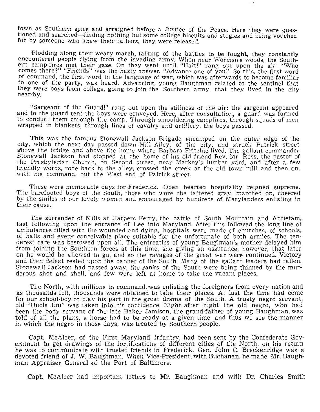town as Southern spies and arraigned before a Justice of the Peace. Here they were questioned and searched—finding nothing but some college biscuits and stogies and being vouched for by someone who knew their fathers, they were released.

Plodding along their weary march, talking of the battles to be fought, they constantly encountered people flying from the invading army. When near Wormsn's woods, the Southern camp-fires met their gaze. On they went until "Halt!" rang out upon the air—"Who comes there?" "Friends" was the hasty answer. "Advance one of you!" So this, the first word of command, the first word in the language of war, which was afterwards to become familiar to one of the party, was heard. Advancing, young Baughman related to the sentinel that they were boys from college, going to join the Southern army, that they lived in the city near-by.

"Sargeant of the Guard!" rang out upon the stillness of the air: the sargeant appeared and to the guard tent the boys were conveyed. Here, after consultation, a guard was formed to conduct them through the camp. Through smouldering campfires, through squads of men wrapped in blankets, through lines of cavalry and artillery, the boys passed.

This was the famous Stonewall Jackson Brigade encamped on the outer edge of the city, which the next day passed down Mill Alley, of the city, and struck Patrick street above the bridge and above the home where Barbara Fritchie lived. The gallant commander Stonewall Jackson had stopped at the home of his old friend Rev. Mr. Ross, the pastor of the Presbyterian Church, on Second street, near Markey's lumber yard, and after a few friendly words, rode back to the alley, crossed the creek at the old town mill and then on, with his command, out the West end of Patrick street.

These were memorable days for Frederick. Open hearted hospitality reigned supreme. The barefooted boys of the South, those who wore the tattered gray, marched on, cheered by the smiles of our lovely women and encouraged by hundreds of Marylanders enlisting in their cause.

The surrender of Mills at Harpers Ferry, the battle of South Mountain and Antietam, fast following upon the entrance of Lee into Maryland. After this followed the long line of ambulances filled with the wounded and dying, hospitals were made of churches, of schools, of halls and every conceivable place suitable for the unfortunate of both armies. The tenderest care was bestowed upon all. The entreaties of young Baughman's mother delayed him from joining the Southern forces at this time, she giving an assurance, however, that later on he would be allowed to go, and so the ravages of the great war were continued. Victory and then defeat rested upon the banner of the South. Many of the gallant leaders had fallen, Stonewall Jackson had passed away, the ranks of the South were being thinned by the murderous shot and shell, and few were left at home to take the vacant places.

The North, with millions to command, was enlisting the foreigners from every nation and as thousands fell, thousands were obtained to take their places. At last the time had come for our school-boy to play his part in the great drama of the South. A trusty negro servant, old "Uncle Jim" was taken into his confidence. Night after night the old negro, who had been the body servant of the late Baker Jamison, the grand-father of young Baughman, was told of all the plans, a horse had to be ready at a given time, and thus we see the manner in which the negro in those days, was treated by Southern people.

Capt. McAleer, of the First Maryland Infantry, had been sent by the Confederate Government to get drawings of the fortifications of different cities of the North, on his return he was to communicate with trusted friends in Frederick. Gen. John C. Breckenridge was a devoted friend of J. W. Baughman. When Vice-President, with Buchanan, he made Mr. Baughman Appraiser General of the Port of Baltimore.

Capt. McAleer had important letters to Mr. Baughman and with Dr. Charles Smith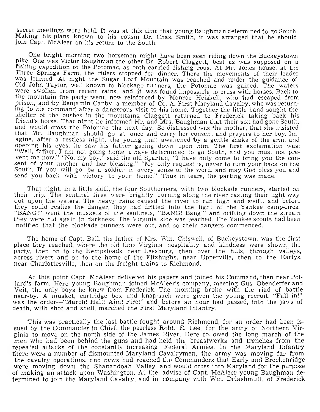secret meetings were held. It was at this time that young Baughman determined to go South. Making his plans known to his cousin Dr. Chas. Smith, it was arranged that he should join Capt. McAleer on his return to the South.

One bright morning two horsemen might have been .seen riding down the Buckeystown pike. One was Victor Baughman the other Dr. Robert Claggett, best as was supposed on a fishing expedition to the Potomac, as both carried fishing rods. At Mr. Jones house, at the Three Springs Farm, the riders stopped for dinner. There the movements of their leader was learned. At night the Sugar Loaf Mountain was reached and under the guidance ot Old John Taylor, well known to blockage runners, the Potomac was gained. The waters were swollen from recent rains, and it was found impossible 'to cross with horses. Back to the mountain the party went, now reinforced by Monroe Heiskell, who had escaped from prison, and by Benjamin Canby, a member of Co. A. First Maryland Cavalry, who was returning to his command after a dangerous visit to his home. Together the little band sought the shelter of the bushes in the mountains. Claggett returned to Frederick taking back his friend's horse. That night he informed Mr. and Mrs. Baughman that their son had gone South, and would cross the Potomac the next day. So distressed was the mother, that she insisted that Mr. Baughman should go at once and carry her consent and prayers to her boy. Imagine, after a restless night, the young man awakened 'by a gentle shake of the arm, and opening his eyes, he saw his father gazing down upon him. The first exclamation was: "Well, father, I am not going home, I have determined to go South, and you must not prevent me now." "No, my boy," said the old Spartan, "I have only come to bring you the consent of your mother and her blessing." "My only request is, never to turn your back on the South. If you will go, be a soldier in every sense of the word, and may God bless you and send you back with victory to your home." Thus in tears, 'the parting was made.

That night, in a little skiff, the four Southerners, with two blockade runners, started on their trip. The sentinel fires were brightly burning along the river casting their light way out upon the waters. The heavy rains caused the river to run high and swift, and before they could realize the danger, they had drifted into the light of the Yankee camp-fires. "BANG!" went the muskets of the sentinels, "BANG! Bang!" and drifting down the stream they were hid again in darkness. The Virginia side was reached. The Yankee scouts had been notified that the blockade runners were out, and so their dangers commenced.

The home of Capt. Ball, the father of Mrs. Wm. Chiswell, of Buckeystown, was the first place they reached, where the old time Virginia hospitality and kindness were shown the party, then on to the Hempstcads, near Leesburg, then over the hills, through valleys, across rivers and on to the home of the Fitzhughs, near Upperville, then to the Earlys, near Charlottesville, then on the freight trains to Richmond.

At this point Capt. McAleer delivered his papers and joined his Command, then near Pollard's farm. Here young Baughman joined McAleer's company, meeting Gus. Obenderfer and Veit, the only boys he knew from Frederick. The morning broke with the riad of battle near-by. A musket, cartridge box and knap-sack were given the young recruit. "Fall in!" was the order—"March! Halt! Aim! Fire!" and before an hour had passed, into the jaws of death, with shot and shell, marched the First Maryland Infantry.

This was practically the last battle fought around Richmond, for an order had been issued by the Commander in Chief, the peerless Robt. E. Lee, for the army of Northern Virginia to move on the north side of the James River. Here followed the long march of the men who had been behind the guns and had held the breastworks and trenches from the repeated attacks of the constantly increasing Federal Armies. In the Maryland Infantry there were a number of dismounted Maryland Cavalrymen, the army was moving far from the cavalry operations, and news had reached the Commanders that Early and Breckenridge were moving down the Shanandoah Valley and would cross into Maryland for the purpose of making an attack upon Washington. At the advise of Capt. McAleer young Baughman determined to join the Maryland Cavalry, and in company with Wm. Delashmutt, of Frederick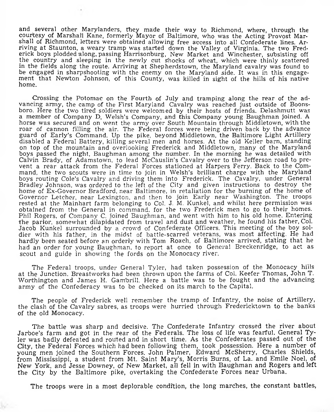and several other Marylanders, they made their way to Richmond, where, through the courtesy of Marshall Kane, formerly Mayor of Baltimore, who was the Acting Provost Marshall of Richmond, letters were obtained allowing free access into all Confederate lines. Arriving at Staunton, a weary tramp was started down the Valley of Virginia. The two Frederick boys plodded along, passing Harrisonburg, New Market and Winchester, subsisting off the country and sleeping in the newly cut Shocks of wheat, which were thinly scattered in the fields along the route. Arriving at Shepherdstown, the Maryland cavalry was found to be engaged in sharpshooting with the enemy on the Maryland side. It was in this engagement that Newton Johnson, of this County, was killed in sight of the hills of his native home.

Crossing the Potomac on the Fourth of July and tramping along the rear of the advancing army, the camp of the First Maryland Cavalry was reached just outside of Boonsboro. Here the two tired soldiers were welcomed by their hosts of friends. Delashmutt was a member of Company D, Welsh's Company, and this Company young Baughman joined. A horse was secured and on went the army over South Mountain through Middletown, with the roar of cannon filling the air. The Federal forces were being driven back by the advance guard of Early's Command. Up the pike, beyond Middletown, the Baltimore Light Artillery disabled a Federal Battery, killing several men and horses. At the old Keller barn, standing on top of the mountain and overlooking Frederick and Middletown, many of the Maryland boys passed the night, Baughman among the number. In the morning he was detailed with Calvin Brady, of Adamstown, to lead McCauslin's Cavalry over to the Jefferson road to prevent a rear attack from the Federal Forces stationed at Harpers Ferry. Back to the Command, the two scouts were in time to join in Welsh's brilliant charge with the Maryland boys routing Cole's Cavalry and driving them into Frederick. The Cavalry, under General Bradley Johnson, was ordered to the left of the City and given instructions to destroy the home of Ex-Governor Bradford, near Baltimore, in retaliation for the burning of the home of Governor Letcher, near Lexington, and then to join Early near Washington. The troops rested at the Mainhart farm belonging to Col. J. M. Kunkel, and whilst here permission was obtained from the General in command, for the two Frederick men to go to their homes. Phil Rogers, of Company C. joined Baughman, and went with him to his old home. Entering the parlor, somewhat dilapidated from travel and dust and weather, he found his father, Col. Jacob Kunkel surrounded by a crowd of Confederate Officers. This meeting of the boy soldier with his father, in the midst of battle-scarred veterans, was most affecting. He had hardly been seated before an orderly with Tom Roach, of Baltimore arrived, stating that he had an order for young Baughman, to report at once to General Breckenridge, to act as scout and guide in showing the fords on the Monocacy river.

The Federal troops, under General Tyler, had taken possession of the Monocacy hills at the Junction. Breastworks had been thrown upon the farms of Col. Keefer Thomas, John T. Worthington and James H. Gam'brill. Here a battle was to be fought and the advancing army of the Confederacy was to be checked on its march to the Capital.

The people of Frederick well remember the tramp of Infantry, the noise of Artillery, the clash of the Cavalry sabres, as troops were hurried through Fredericktown to the banks of the old Monocacy.

The battle was sharp and decisive. The Confederate Infantry crossed the river about Jarboe's farm and got in the rear of the Federals. The loss of life was fearful. General Tyler was badly defeated and routed and in short time. As the Confederates passed out of the City, the Federal Forces which had been following them, took possession. Here a number of young men joined the Southern Forces. John Palmer, Edward McSherry, Charles Shields, from Mississippi, a student from Mt. Saint Mary's, Morris Burns, of La. and Emile Noel, of New York, and Jesse Downey, of New Market, all fell in with Baughman and Rogers and left the City by the Baltimore pike, overtaking the Confederate Forces near Urbana.

The troops were in a most deplorable condition, the long marches, the constant battles,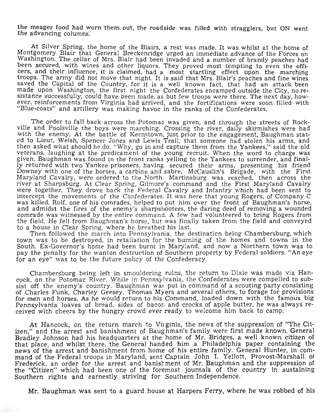the meager food had worn them out, the roadside was filled with stragglers, but ON went the advancing columns.

At Silver Spring, the home of the Blairs, a rest was made. It was whilst at the home of Montgomery Blair that General Breckenridge urged an immediate advance of the Forces on Washington. The cellar of Mrs. Blair had been invaded and a number of brandy peaches had been secured, with wines and other liquors. They proved most tempting to even the officers, and their influence, it is claimed, had a most startling effect upon the marching troops. The army did not move that night. It is said that Mrs. Blair's peaches and fine wines saved the Capital of the Country, for it is a well known fact, that had an attack been made upon Washington, the first night the Confederates encamped outside the City, no resistance successfully, could have been made, as but few troops were there. The next day, however, reinforcements from Virginia had arrived, and the fortifications were soon filled with "Blue-coats" and artillery was making havoc in the ranks of the Confederates.

The order to fall back across the Potomac was given, and through the streets of Rockville and Poolsville the boys were marching. Crossing the river, daily skirmishes were had with the enemy. At the battle of Kernstown, just prior to the engagement, Baughman stated to Lieut. Welsh, Spencer Jones and Lewis Trail, that someone had stolen his arms, and then asked what should he do. "Why, go in and capture them from the Yankees," said the old veterans, laughing at the predicament of the young recruit. When the word to charge was given, Baughman was found in the front ranks yelling to the Yankees to surrender, and finally returned with two Yankee prisoners, having secured their arms, presenting his friend Downey with one of the horses, a carbine and sabre, McCauslin's Brigade, with the First Maryland Cavalry, were ordered to the North. Martinsburg was reached, then across the river at Sharpsburg. At Clear Spring, Gilmore's command and the First Maryland Cavalry were together. They drove back the Federal Cavalry and Infantry which had been sent to intercept the movements of the Confederates. It was here that young Rogers, of Company C was killed. Rolf, one of his comrades, helped to put him over the front of Baughman's horse, and admidst the fires of the enemy's sharpshooters, the daring deed of removing a wounded comrade was witnessed by the entire command. A few had volunteered to bring Rogers from the field. He fell from Baughman's horse, but was finally taken from the field and conveyed to a house in Clear Spring, where he breathed his last.

Then followed the march into Pennsylvania, the destination being Chambersburg, which town was to be destroyed, in retaliation for the burning of 'the homes and towns in the South. Ex-Governor's home had been burnt in Maryland, and now a Northern town was to pay the penalty for the wanton destruction of Southern property by Federal soldiers. "An eye for an eye" was to be the future policy of the Confederacy.

Chambersburg being left in smouldering ruins, the return to Dixie was made via Hancock, on the Potomac River. While in Pennsylvania, the Confederates were compelled to subsist off the enemy's country. Baughman was put in command of a scouting party consisting of Charles Funk, Charley Geesey, Thomas Myers and several others, to forage for provisions for men and horses. As he would return to his Command, loaded down with the famous big Pennsylvania loaves of bread, sides of bacor. and crocks of apple butter, he was always received with cheers by the hungry crowd ever ready to welcome him back to camp.

At Hancock, on the return march to Vinginia, the news of the suppression of "The Citizen," and the arrest and banishment of Baughman's family were first made known. General Bradley Johnson had his headquarters at the home of Mr. Bridges, a well known citizen of that place, and whilst there, the General handed 'him a Philadelphia paper containing the news of the arrest and banishment from home of his entire family. General Hunter, in command of the Federal troops in Maryland, sent Captain John I. Yellott, Provost-Marshall ol Frederick, an order for the arrest and banishment of Mr. Baughman and the suppression of the "Citizen" which had been one of the foremost journals of the country in sustaining Southern rights and earnestly striving for Southern Independence.

Mr. Baughman was sent to a guard house at Harpers Ferry, where he was robbed of his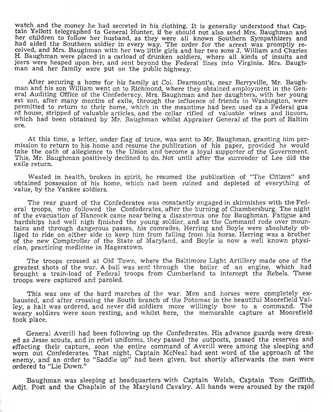watch and the money he had secreted in his clothing. It is generally understood that Captain Yellott telegraphed to General Hunter, if 'he should not also send Mrs. Baughman and her children to follow her husband, as they were all known Southern Sympathizers and had aided the Southern soldier in every way. The order for the arrest was promptly received, and Mrs. Baughman with her two little girls and her two sons J. William and Charles H. Baughman were placed in a carload of drunken soldiers, where all kinds of insults and jeers were heaped upon her, and sent beyond the Federal lines into Virginia. Mrs. Baughman and her family were put on the public highway.

After securing a home for his family at Col. Dearmont's, near Berryville, Mr. Baughman and his son William went on to Richmond, where they obtained employment in the General Auditing Office of the Confederacy. Mrs. Baughman and her daughters, with her young est son, after many months of exile, through the influence of friends in Washington, were permitted to return to their home, which in the meantime had been used as a Federal gua rd house, stripped of valuable articles, and the cellar rifled of valuable wines and liquors, which had been obtained by Mr. Baughman whilst Appraiser General of the port of Baltim ore.

At this time, a letter, under flag of truce, was sent to Mr. Baughman, granting him permission to return to his home and resume the publication of his paper, provided he would take the oath of allegience to the Union and become a loyal supporter of the Government. This, Mr. Baughman positively declined to do. Not until after the surrender of Lee did the exile return.

Wasted in health, broken in spirit, he resumed the publication of "The Citizen" and obtained possession of his home, which had been ruined and depleted of everything of value, by the Yankee soldiers.

The rear guard of the Confederates was constantly engaged in skirmishes with the Federal troops, who followed the Confederates, after the burning of Chambersburg. The night of the evacuation of Hancock came near being a disasterous one for Baughman. Fatigue and hardships had well nigh finished the young soldier, and as the Command rode over mountains and thro'ugh dangerous passes, his comrades, Herring and Boyle were absolutely obliged to ride on either side to keep him from falling from his horse. Herring was a brother of the new Comptroller of the State of Maryland, and Boyle is now a well known physician, practicing medicine in Hagerstown.

The troops crossed at Old Town, where the Baltimore Light Artillery made one of the greatest shots of the war. A ball was sent through the boiler of an engine, which had brought a train-load of Federal troops from Cumberland to intercept the Rebels. These troops were captured and paroled.

This was one of the hard marches of the war. Men and horses were completely exhausted, and after crossing the South branch of the Potomac in the beautiful Moorefield Valley, a halt was ordered, and never did soldiers more willingly bow to a command. The weary soldiers were soon resting, and whilst here, the memorable capture at Moorefield took place.

General Averill had been following up the Confederates. His advance guards were dressed as Jesse scouts, and in rebel uniforms, they passed the outposts, passed the reserves and effecting their capture, soon the entire command of Averill were among the sleeping and worn out Confederates. That night, Captain McNeal had sent word of the approach of the enemy, and an order to "Saddle up" had been given, but shortly afterwards the men were ordered to "Lie Down."

Baughman was sleeping at headquarters with Captain Welsh, Captain Tom Griffith, Adjt. Post and the Chaplain of the Maryland Cavalry. All hands were aroused by the rapid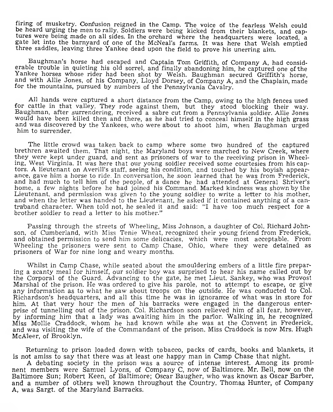firing of musketry. Confusion reigned in the Camp. The voice of the fearless Welsh could be heard urging the men to rally. Soldiers were being kicked from their blankets, and captures were being made on all sides. In the orchard where the headquarters were located, a gate let into the barnyard of one of the McNeal's farms. It was here that Welsh emptied three saddles, leaving three Yankee dead upon the field to prove his unerring aim.

Baughman's horse had escaped and Captain Tom Griffith, of Company A, had considerable trouble in quieting his old sorrel, and finally abandoning him, he captured one of the Yankee horses whose rider had been shot by Welsh. Baughman secured Griffith's horse, and with Allie Jones, of his Company, Lloyd Dorsey, of Company A, and the Chaplain, made for the mountains, pursued by numbers of the Pennsylvania Cavalry.

All hands were captured a short distance from the Camp, owing to the high fences used for cattle in that valley. They rode against them, but they stood blocking their way. Baughman, after surrendering, received a sabre cut from a Pennsylvania soldier. Allie Jones would have been killed then and there, as he had tried to conceal himself in the high grass and was discovered by the Yankees, who were about to shoot him, when Baughman urged him to surrender.

The little crowd was taken back to camp where some two hundred of the captured brethren awaited them. That night, the Maryland boys were marched to New Creek, where they were kept under guard, and sent as prisoners of war to the receiving prison in Wheeling, West Virginia. It was here that our young soldier received some courtesies from his captors. A lieutenant on Averill's staff, seeing his condition, and touched by his boyish appearance, gave him a horse to ride. In conversation, he soon learned that be was from Frederick, and had much to tell him of the people, of a dance he had attended at General Shriver's home, a few nights before he had joined his Command. Marked kindness was shown by the Lieutenant, and permission was given to the young soldier to write a letter to his mother, and when the letter was handed to the Lieutenant, he asked if it contained anything of a cantra'band character. When told not, he sealed it and said: "I have too much respect for a brother soldier to read a letter to his mother."

Passing through the streets of Wheeling, Miss Johnson, a daughter of Col. Richard Johnson, of Cumberland, with Miss Tenie Wheat, recognized their young friend from Frederick, and obtained permission to send him some delicacies, which were most acceptable. From Wheeling the prisoners were sent to Camp Chase. Ohio, where they were detained as prisoners of War for nine long and weary months.

Whilst in Camp Chase, while seated about the smouldering embers of a little fire preparing a scanty meal for himself, our soldier boy was surprised to hear his name called out by the Corporal of the Guard. Advancing to the gate, he met Lieut. Sankey, who was Provost Marshal of the prison. He was ordered to give his parole, not to attempt to escape, or give any information as to what he saw about troops on the outside. He was conducted to Col. Richardson's headquarters, and all this time he was in ignorance of what was in store for him. At that very hour the men of his barracks were engaged in the dangerous enterprise of tunnelling out of the prison. Col. Richardson soon relieved him of all fear, however, by informing him that a lady was awaiting him in the parlor. Walking in, he recognized Miss Mollie Craddock, whom he had known while she was at the Convent in Frederick, and was visiting the wife of the Commandant of the prison. Miss Craddock is now Mrs. Hugh McA'leer, of Brooklyn.

Returning to prison loaded down with tobacco, packs of cards, books and blankets, it is not amiss to say that there was at least one happy man in Camp Chase that night.

A debating society in the prison was a source of intense interest. Among its prominent members were Samuel Lyons, of Company C, now of Baltimore. Mr. Bell, now on the Baltimore Sun; Rdbert Keen, of Baltimore; Oscar Baugher, who was known as Oscar Barber, and a number of others well known throughout the Country. Thomas Hunter, of Company A, was Sargt. of the Maryland Barracks.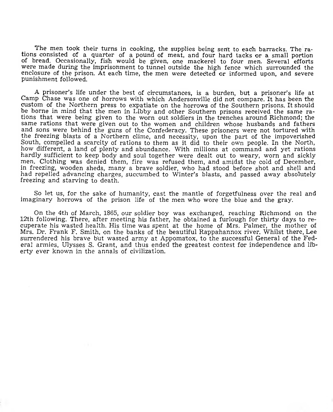The men took their turns in cooking, the supplies being sent to each barracks. The rations consisted of a quarter of a pound of meat, and four hard tacks or a small portion of bread. Occasionally, fish would be given, one mackerel to four men. Several efforts were made during the imprisonment to tunnel outside the high fence which surrounded the enclosure of the prison. At each time, the men were detected or informed upon, and severe punishment followed.

A prisoner's life under the best of circumstances, is a burden, but a prisoner's life at Camp Chase was one of horrows with which Andersonville did not compare. It has been the custom of the Northern press to expatiate on the horrows of the Southern prisons. It should be borne in mind that the men in Libby and other Southern prisons received the same rations that were being given to the worn out soldiers in the trenches around Richmond; the same rations that were given out to the women and children whose husbands and fathers and sons were behind the guns of the Confederacy. These prisoners were not tortured with the freezing blasts of a Northern clime, and necessity, upon the part of the impoverished South, compelled a scarcity of rations to them as it did to their own people. In the North, how different, a land of plenty and abundance. With millions at command and yet rations hardly sufficient to keep body and soul together were dealt out to weary, worn and sickly men. Clothing was denied them, fire was refused them, and amidst the cold of December, in freezing, wooden sheds, many a brave soldier, who had stood before shot and shell and had repelled advancing charges, succumbed to Winter's blasts, and passed away absolutely freezing and starving to death.

So let us, for the sake of humanity, cast the mantle of forgetfulness over the real and imaginary horrows of the prison life of the men who wore the blue and the gray.

On the 4th of March, 1865, our soldier boy was exchanged, reaching Richmond on the 12th following. There, after meeting his father, he obtained a furlough for thirty days to recuperate his wasted health. His time was spent at the home of Mrs. Palmer, the mother of Mrs. Dr. Frank F. Smith, on the banks of the beautiful Rappahannox river. Whilst there, Lee surrendered his brave but wasted army at Appomatox, to the successful General of the Federal armies, Ulysses S. Grant, and thus ended the greatest contest for independence and liberty ever known in the annals of civilization.